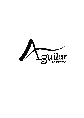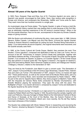

### **Almost 100 years of the Aguilar Quartet**

In 1923, Paco, Ezequiel, Pepe and Elisa, four of Dr. Francisco Aguilar's six sons, start a Spanish Lute quartet, encouraged by their father. Soon, they receive wide recognition in Europe and America, and composers like Strawinsky, Halffter and Turina write for them. They reach more than two hundred concerts in a single year.

As musicologist Jorge de Persia states: "The Aguilar Quartet, in spite of having a brief life, since the Spanish history marked their way leading them to exile because of the Civil War, was an absolutely important experience in the XX century's musical history". When in the 40's the quartet dissolves, Paco on his own, accompanied on the piano by Donato Colacelli, keeps on giving concerts.

With the illusion and enthusiasm of continuing this story, many years later, in 1986, Antonio Navarro, Esther Casado, Luis Miguel Lara and Pilar Barón, re-found the *Aguilar Quartet*. Thanks to Antonio Navarro's researches for writing his book 'Plucked String Instruments in Spain' *("Los instrumentos de púa en España")*, the original instruments were recovered, and the Quartet actually uses them.

In 1995, at the Centro Cultural del Conde Duque, Madrid, they premiere the work 'Five Studies' *("Cinco estudios")*, composed and dedicated to them by José Luis Turina. And on account of the 50<sup>th</sup> Anniversary of Joaquin Turina's Death they participate, together with José María Gallardo del Rey, in the program 'The sounds of Spain: the guitar and the Aguilar Quartet' *("Los sonidos de España: la guitarra y el Cuarteto Aguilar")*. At the Conde Duque they also perform in musical cycles like 'The Aguilar in America' *("los Aguilar en América")*, part of the acts held by Madrid, Ibero-American Capital of Culture, and 'Dialogs and Tributes' *("Diálogos y tributos")*, relative to the Generation of 1927.

They are hired by the Fundación Juan March to give a concert cycle: 'The Generation of 1927, Joaquín Turina and Music of the XX Century (Igor Strawinsky, Claudio Prieto, Valentín Ruiz and José Luis Turina)' *(The Generation of 1927, Joaquín Turina y la música del siglo XX)"*. These performances, as well as the concert held at the Museo Reina Sofía, part of a cycle about XX Century Music, were recorded and broadcasted by Radio Clásica – RNE. As part of the acts for *España Nuevo Milenio*, they share program at Madrid's Teatro Real with the Orquesta de Cámara Reina Sofía conducted by Nicolás Chumachenco, with Rodolfo Mederos playing the bandoneon. They open the show with the piece 'The Bullfighter's Prayer' *("La oración del torero")*, composed by Joaquin Turina and dedicated to the Aguilar Quartet by the author himself.

'Invitation to a Sound Journey' *("Invitación a un viaje sonoro")* is a cantata for verse and lute created by Rafael Alberti and Paco Aguilar in 1942. By performing this cantata, together with José Luis Pellicena, they pay homage to Rafael Alberti at the International Festival of Music and Dance of Granada, at the Court of the Myrtles. Also, the Autumn Festival of the Community of Madrid, the Fundación Alberti and, more recently, the Ra del Rey Gallery have been witnesses of this Invitation.

The Quarter has collaborated with Olivier Salazar-Ferrer in researching and recovering the film *'Tararira'*, directed by Benjamín Fondane in 1936, and starred by the Aguilar Brothers.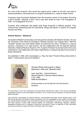

As a fruit of this research, they record the original score, written for this film, and used in several exhibitions, memorials and in a program dedicated to it, made by Radio France.

Composer Jorge Grundman dedicates them the exclusive version of his quarter 'Surviving a Son's Suicide', released in 2014, and a year later writes for them 'The Propagation of Faith' *("La propagación de la fe")*.

Currently, they collaborate with plastic artist Ángel Aragonés in different projects. They continue their researching task for instruments, strings and plectra, in search of a singular sonority and filling.

#### **Antonio Navarro – Bandurria**

He studied at Madrid Conservatory and took plectrum studies with Roberto Grandío. He was the Conductor of the Plectrum Orchestras "Roberto Grandío" and "Gaspar Sanz". With the "Grandío" Quartet and poet Rafael Alberti he performed the show "Invitation to a Sound Journey" *("Invitación a un viaje sonoro")*. He has collaborated with the Spanish National Orchestra. National Plectrum Award in 1977, Superior Professor for bandurria from the Liceo of Barcelona. He collaborates with luthier Ángel Benito in researching about the sonority of these instruments.

He published in 1993, with musicologist J.J. Rey, the book "Plucked String Instruments in Spain" *("Instrumentos de púa en España")*.



*Plucked String Instruments in Spain Bandurria, citole and "Spanish lutes"*

Juan José Rey – Antonio Navarro Alianza Editorial. Colección Alianza Música nº 64, 1993 ISBN 84-206-8564-X

At the moment is out of sale but it can be found in Libraries.

This work filled a void in the researching of Plucked String Instruments in Spain. This void was completely unjustifiable because of the long tradition that there is in our country and the existence of renowned quality plectrum groups

Juan José Rey, musicologist, and Antonio Navarro, instrumentalist and expert on the "Spanish lutes", trace with the utmost rigour the history of these instruments, from the investigation of their origins to the Baroque era, ending with the formation of the most important plectrum associations of our time. The volume is enriched with other sections of great utility covering aspects as construction, methodology, didactics, repertory, biographical sketches and a catalogue of preserved instruments. Finally, an appendix of fully transcribed documents provides the reader with direct information about the subject.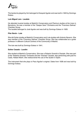

The bandurria played by him belonged to Ezequiel Aguilar and was built in 1922 by Domingo Esteso.

#### **Luis Miguel Lara - Laudete**

He attended musical studies at Madrid's Conservatory and Plectrum studies at the Liceo in Barcelona. He was a member of the "Gaspar Sanz" Orchestra and the "Francisco Salinas" Chamber Group.

The laudete belonged to José Aguilar and was built by Domingo Esteso in 1929.

#### **Pilar Barón - Lute**

She did Guitar studies at Madrid's Conservatory and Lute studies with Antonio Navarro. She was member of the "Francisco Salinas" Chamber Group. She has collaborated as a guitar professor in different Cultural Centres of the Community of Madrid.

The lute was built by Domingo Esteso in 1941.

#### **Esther Casado - Laudón**

She studied at Madrid's Conservatory. She was a Roberto Grandío's Disciple. She was part of the "Roberto Grandío" Orchestra and the "Grandío" Quartet, also performing with poet fro Cadiz, Rafael Alberti. She rediscovered the use of the laudón in Spain.

The instrument that she plays is Paco Aguilar's original. Dates from 1928 and was built by Domingo Esteso.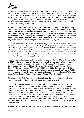

Knowing its qualities and gathering information for my book *Plectrum String Instruments in Spain* ("Los instrumentos de púa en España"), I managed to contact in Madrid with a nephew of the Aguilar. Thanks to him I learnt that a great part of the archives and its instruments were found in the cellar of a house in Buenos Aires. We carried out the appropriate arrangements to get this valuable treasure out of its silent loneliness. Since then, our goals were to recover the instruments for its use (actually we play the 'laudete' and 'laudón') and to be able to listen again their works.

Their importance is widely known. Who hasn't ever listened the famous 'Bullfighter's prayer' *("La oración del torero")*? Many have had the chance, but very few have done it in its original version with the instruments that inspired to Joaquín Turina in 1925. The friendship and collaboration among the Aguilar and Turina resulted in exclusive versions like 'Remembrances of Old Spain' *("Recuerdos de la Antigua España")*, "Two popular Spanish dances' *("Dos danzas populares españolas")*, 'Lead Soldiers Parade' *("Desfile de soldados de plomo")*, 'Moorish Party in Tangier' *("Fiesta mora en Tánger")*, etc.

Since the renowned quality of the group –formed by Spanish plectrum instruments: 'laudín' or bandurria (Ezequiel Aguilar), 'laudete' (Pepe Aguilar), lute (Elisa Aguilar) and 'laudón' (Paco Aguilar)-, the filling, together with the great span of effects and articulations, were so interesting and attractive that the composers of that time wrote and adapted numerous scores for this group. One of these appreciations was the welcoming that Manuel de Falla gave them at his house in Granada. They played an adaptation of 'The Bewitched Love' (*"El Amor Brujo")*, which was approved by the maestro.

Regarding several composers, who started their creations in the mid-20's, as the Generation of 1927, similar to the homonym literary one, we can find some authors that composed for the Aguilar: Federico Elizalde dedicates them his 'Negresca'; Antonio José, composer from Burgos, adapts for them his 'Childish Romance' *("Romance infantile")* and his 'III Dance from Burgos' *("Danza burgalesa III")* between 1925 and 1928; Germán Álvarez Beigbeder dedicates them his 'Spanish Improvisations' *("Improvisaciones españolas")*; María Rodrigo, from Madrid, composes 'Gavotte' *("Gavota")*, and adapts 'The intruding *copla*' *("La copla intrusa")*; Juan Bautista Plaza dedicates them 'Fugue' *("Fuga")* in 1935.

Disgracefully, the Civil War and the exile made that the works of these musicians were scattered around, thus being deficiently known and very little played.

In 1928, The Aguilar Quartet started taking their art throughout the world. Polemics and controversies arise upon the origin of the so called Spanish Lute and its importance in contemporary music. These polemics were brilliantly countered by musicologists, composers and critics like Rafael Mitjana, Joaquín Nin and Adolfo Salazar. Nin received the Quartet in Paris stating: "You don't need anybody's protection; we the composers are who need performers like you". He did several original versions of his works like 'El Vito', 'Murcian cloth' *("Paño murciano")*, 'From Andalusia' *("De Andalucía")*, 'Song of the lost girl' *("Canción de la niña perdida")* and 'Minuet in the old style' *("Minué en el estilo antiguo")*. Adolfo Salazar also dedicates them 'Two impromptus' *("Dos improntus")* and adapts his 'Little Romance' *("Romancillo")*.

The Generation of 1927 shows more clearly the parallelism between writers and musicians,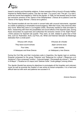

based in working and friendship relations. A clear example of this is found in Ernesto Halffter. Inspired by Rafael Aberti's poems 'The doe roe deer' *("La corza")* and 'The girl' *("La niña")*, wrote two scores that adapted in 1933 for the Aguilar. In 1928, he had already done for them two exclusive versions of the 'Dance of the Shepherdess' *("Danza de la pastora")* and the 'Dance of the Gypsy Woman' *("Danza de la gitana")*.

The Quartet travelled all over the world in concert halls with unusual instruments, regarded as unable of satisfying a remarkable musical exigency. With their music, they show the other way round. While they were in Los Angeles (USA), Stravinsky wanted to meet and listen to them, researching with them the possibilities and sound effects of the Spanish lutes. During those encounters he supervises and authorises the exclusive version of his 'Eight Pieces' *("Ocho piezas")* for Spanish lute quartet. They were, as well, related to great men of that time, such as: Rubinstein, Iturbi, Lily Pons, etc. Writer and historian Salvador de Madariaga dedicates them a small poem:

| Virtuous with virtues        | Virtuosos de virtudes       |
|------------------------------|-----------------------------|
| They leave sound echoes      | dejan sonoros ecos          |
| Four lutes,                  | cuatro laúdes,              |
| A Velazquez and three Grecos | un Velázquez y tres Grecos. |

During the Civil War and their involuntary exile in Argentina, the Aguilar kept on working. Ezequiel composed for the group 'Petenera' and 'Response for a ghost' *("Responso a un fantasma")*; Paco composed 'rondino', 'Coloured badge' *("Escarapela de colores")*, 'Tocatina in B Mayor' *("Tocatina en Sí mayor)* and 'Galician Suite' *("suite gallega")* among others.

The *Aguilar Quartet* has among its objectives to promulgate all this forgotten and unknown music as well as promote the creation of new works by actual composers. It is a hard and difficult task but with work and patience we succeed in it.

Antonio Navarro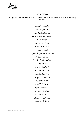

### *Repertoire*

The *Aguilar* Quartet repertoire consists of original works and/or exclusive versions of the following composers:

> *Ezequiel Aguilar Paco Aguilar Humberto Allende G. Álvarez Beigbeder F. Elizalde Manuel de Falla Ernesto Halffter Antonio José Miguel Ángel Martín Lladó John McEwen Luis Pedro Mondino Joaquín Nin Carlos Pedrell Claudio Prieto María Rodrigo Jorge Grundman Valentín Ruiz Adolfo Salazar Igor Stravinsky Joaquín Turina José Luis Turina Heitor Villalobos Amadeo Roldán*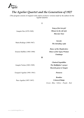

# *The Aguilar Quartet and the Generation of 1927*

(This program consists of original works and/or exclusive versions made by the authors for the Aguilar Quartet)

**I** 

| Joaquín Nin (1879-1949)      | Song of the lost girl<br>Minuet in the old style<br><b>Murcian Tune</b>        |
|------------------------------|--------------------------------------------------------------------------------|
| María Rodrigo (1888-1967)    | <b>Gavotte</b><br>The intruding copla                                          |
| Ernesto Halffter (1905-1989) | <b>Dance of the Shepherdess</b><br><b>Dance of the Gypsy Woman</b><br>Fandango |
| П                            |                                                                                |
|                              | <b>Chained Seguidillas</b>                                                     |
| Joaquín Turina (1882-1949)   | The Bullfighter's prayer                                                       |

Ezequiel Aguilar (1901-1961) *Petenera* 

Paco Aguilar (1897-1947)

*Moorish party in Tangier* 

*Rondino Coloured Badge Green - Blue - Yellow – Purple – Red*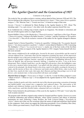

### *The Aguilar Quartet and the Generation of 1927*

*Comments to the program*

The works by Nin, are author-exclusive versions, and are dated in Paris, between 1928 and 1933. The first two belong to the collection '*Seven ancient Spanish lyric chants' ("Siete cantos líricos españoles antiguos").* The 'Murcian Tune' *("Tonada murciana")* is based on songs of that zone.

*Gavotte ("Gavota")* is dedicated by Maria Rodrigo to the Aguilar Quartet in 1925. About 'The intruding copla' *("La copla intrusa")*, her other work, the author expresses herself this way:

In an Andalusian inn, a daring song is heard, sang by an Aragonese. The intruder is welcomed, and the soul of both regions melts in a single rhythm.

Ernesto Halffter's *Dance of the Shepherdess("Danza de la pastora")* and *Dance of the Gypsy Woman ("Danza de la gitana")* belong to his ballet *Sonatine ("sonatina")* and the *Fandango* to *The maidens ("Las doncellas")*. They all are exclusive versions of the author for the Aguilar arranged in Buenos Aires.

Joaquín Turina's *Chained Seguidillas ("Cadena de seguidillas")* belong to the '*Two popular Spanish dances' ("dos danzas populares españolas")*. Author's version dated in Madrid, in 1926. Concerning *The Bullfighter's Prayer ("La oración del torero")*, maybe one of the best works of the Sevillian composer, was written on request of the Aguilar Quartet in 1925. Joaquín Turina himself tells how this score aroused:

*That rumour enlightened by the sunlight glow, boosted by the music of pasodobles and the sound of clarions influenced me. I had many times felt the temptation of putting into music all the impression that the multiple voice of the party produced in me, yet I was also attracted by the deep and suggestive aspects of the popular religious emotion, especially in Andalusia. A bullfighting afternoon at the Plaza de Madrid, that old gracious harmonic bullring, I visualized my piece. I was at the horse playground. There, behind a small door, was the chapel fill with unction, where the bullfighters came to pray just a moment before facing death. I was gifted with that subjective musical and expressive contrast in his plenitude: the distant bustle in the arena, made by the public awaiting for the party to begin, and the unction of those who, at that poor and tender poetry-filled shrine, came to pray God for their lives, maybe for their souls, their pain, their illusions and hope that perhaps were to be left forever, a few moments later, in that arena filled with music and sunlight.*

*Moorish Party in Tangier ("Fiesta mora en Tánger")* is the No. 5 in the Sevillian composer's score "Album of travel" *("Álbum de viaje")*. It was adapted for the Aguilar Quartet in 1924. The setting is as follows:

*A dance rhythm by gusles and rebecs marks the start of the shawms generating a sensation of stunning and hubble-bubble, soon turned into a suggestive and cadenced dance. The intervention of the atabales and whimsical rhythms excite the mood of the dancers, who, in a joyful paroxysm, dance with a mad frenzy, until their flexible bodies, exhausted, fall over to the floor.*

When Turina listened to the performance of this score by the Aguilar in 1924 said: 'I won't play this work on piano anymore'.

The program ends with three original works written by Ezequiel and Paco Aguilar. *Petenera* is a score of delicate elaboration and technical difficulty, where typical resources and effects of plectrum instruments are used. Following a funny *Rondino*, the work *Coloured Badge ("Escarapela de colores")* shows one of the very few occasions where the senses of sight and sound have been melted by the composers. Each colour can suggest the following associations: *Green* (Zambra), B*lue* (Sea), *Yellow* (Merry-go-round music), *Purple* (Holy Week) and *Red* (foot-tapping).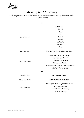

# *Music of the XX Century*

(This program consists of original works and/or exclusive versions made by the authors for the Aguilar Quartet)

#### **I**

| <b>Eight Pieces</b>                         |
|---------------------------------------------|
| March                                       |
| Waltz                                       |
| Polka                                       |
| Andante                                     |
| Spanish                                     |
| <b>Balalaika</b>                            |
| Neapolitan                                  |
| Galop                                       |
| <b>March of the little folk Red Murdoch</b> |
| <b>Five Studies (D'Aprés Valéry)</b>        |
| La naissance du vent                        |
| Le Secret Changement                        |
| La Vague en Poudre                          |
| Chanterez-Vous Quand Serez Vaporeuse?       |
| Toujours Recommencée                        |
| $\mathbf{I}$                                |
| <b>Serenade for Lutes</b>                   |
|                                             |

Heitor Villalobos *Saudade da selva brasileira*

#### *Dance of the Three Captive Princesses*

*Zoraida (Saracen) Doña Mencía (Christian) Betsabé (Judaic)*

Carlos Pedrell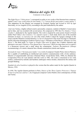

## *Música del siglo XX*

*Comments to the program* 

The *Eight Pieces ("Ocho piezas")* correspond in reality to two works of the Russian-born composer, named *3 and 5 easy works piano for four hands ("3 y 5 piezas fáciles para piano a cuatro manos")*. This adaptation for the Quartet was arranged by Ezequiel Aguilar and revised in 1935 by Igor Stravinsky, in Los Angeles (USA), according to the parts dedicated by the author.

José Luis Turina, a highly-refined creative personality composer, studied at Madrid's Conservatory and in Italy, and was awarded with several prizes. He composed in 1993 this *Five Studies ("Cinco estudios")*, dedicated to the Aguilar Quartet. The work is inspired by some poems found in French author Paul Valéry's *Sea Cemetery ("Le cimetiére marin")*. Each study shows one of the essential elements of music. *La naissance du vent* (The wind's birth) is about the Agogics (changes in the *tempo*) and the Dinamics (sound intensity). *Le Secret Changement* (The secret moving) is a harmonic sketch with notes belonging to Federico García Lorca's "Romance of Don Boyso" *(Romance de Don Boyso")*. The third study, *La Vague en Poudre* (The wave in ashes), has a timbric character and plectrum is not used. *Chanterez-Vous Quand Serez Vaporouse?* (Will you sing when you're a spirit?) is a Renascent ricercar and a study about the counterpoint. *Toujours Recommencée* (Always recommencing), of a metric character has a Rondo construction (chorus and coplas).

*Serenade for Lutes ("Serenata para laúdes")* is a work of composer Claudio Prieto, born in Palencia. He is capable of establishing an intellectual and sensitive communication with a lively audience. Maestro of unquestionable relevance (National Music Award Reina Sofía, 1984), he obtained the Composition Prize for Lute Quartet with this work in 1982. The work is structured in two wide strokes, conformed by melodic and rhythmic arabesques which, besides, characterise the unitary and groupal thinking.

*Saudade da selva brasileira* is played in the version that the author made for the Aguilar Quartet in Mexico, 1934.

In 1930, The Aguilar Quartet performs in Paris, *Dances of the Three Captive Princesses ("Danzas de last res princesas cautivas")*, by Uruguayan composer Carlos Pedrell, strict contemporary of Falla and Turina.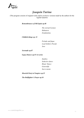

### *Joaquín Turina*

(This program consists of original works and/or exclusive versions made by the authors for the Aguilar Quartet)

*Remembrances of Old Spain op.48* 

*The eternal Carmen Habanera Estudiantina* 

*Childish things op. 21* 

*Prelude and fugue Lead Soldiers Parade Jeux* 

*Serenade op.87*

*Gypsy Dances op.55 1st series*

*Zambra Seductive dance Ritual Dance Generalife Sacro-monte* 

*Moorish Party in Tangiers op.15* 

*The Bullfighter's Prayer op.34*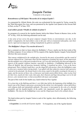

### *Joaquín Turina*

*Comments to the program*

#### *Remembrances of Old Spain ("Recuerdos de la Antigua España")*

As commented by Alfredo Morán, this suite was orchestrated for lute quartet by Turina, except for the Third Movement *Don Juan*, and was premiered by the Aguilar Lute Quartet at the Gaveau Hall in Paris, on the  $4<sup>th</sup>$  of June, 1932.

#### *Lead soldiers parade ("Desfile de soldados de plomo")*

In a program of a concert by the Aguilar Quartet, held at the Odeon Theatre in Buenos Aires, on the 16<sup>th</sup> of July, 1929, the following annotation can be read:

*A tiny army of toys serves the great composer Joaquín Turina as entertainment; one day, in the author's imagination, the lead soldiers come to life and, with an ornamental indiscipline, start their march, rigid and encompassed, walking triumphantly by galleries and halls.*

#### *The Bullfighter's Prayer ("La oración del torero")*

Just a comment on what we know about *the Bullfighter's Prayer*, maybe one the best works of the Sevillian composer. It was written in 1925 by request of the Aguilar Quartet. Joaquín Turina himself tells how this score aroused:

*That rumour enlightened by the sunlight glow, boosted by the music of pasodobles and the sound of clarions influenced me. I had many times felt the temptation of putting into music all the impression that the multiple voice of the party produced in me, yet I was also attracted by the deep and suggestive aspects of the popular religious emotion, especially in Andalusia. A bullfighting afternoon at the Plaza de Madrid, that old gracious harmonic bullring, I visualized my piece. I was at the horse playground. There, behind a small door, was the chapel fill with unction, where the bullfighters came to pray just a moment before facing death. I was gifted with that subjective musical and expressive contrast in his plenitude: the distant bustle in the arena, made by the public awaiting for the party to begin, and the unction of those who, at that poor and tender poetry-filled shrine, came to pray God for their lives, maybe for their souls, their pain, their illusions and hope that perhaps were to be left forever, a few moments later, in that arena filled with music and sunlight.*

The part of this work for the laudón says, hand-written by Paco Aguilar:

*It is a feast day at the Bullring and there's very little time left for the beginning of the bullfight. In a lonely zone of the Chapel a man prays, prostrated at the shrine; he is the matador, whose spirit flows with religious faith and indomitable gallantly. The prayer is interrupted by the echo of a cheerful pasodoble and the humble-bumble of the public who impatiently awaits the apparition of the bullfighter. The time for the bullfighting is near and the Chapel goes back to his solitude silence.*

The hand-written part by Joaquín Turina to each of the Aguilar, show affectionately, the following dedications:

*A Ezequielote, la estrella del Cuarteto Aguilar* To Ezequielote, star of the Aguilar Quartet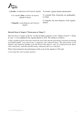

| A <b>Joselito</b> , el administraó del Cuarteto Aguilar | To Joselito, Aguilar Quartet administrator    |
|---------------------------------------------------------|-----------------------------------------------|
| A la comadre <b>Elisa</b> , en honor de nuestra         | To comrade Elisa, honouring our goddaughter   |
| ahijada la Orgía                                        | La Orgía                                      |
| A <b>Paquello</b> , el más flamenco del Cuarteto        | To Paquello, the most flamenco of the Aguilar |
| Aguilar                                                 | Quartet                                       |

#### *Moorish Party in Tangier ("Fiesta mora en Tánger")*

*Moorish Party in Tangier* is the No. 5 in the Sevillian composer's score "Album of travel" *("Álbum de viaje")*. It was adapted for the Aguilar Quartet in 1924. The setting is as follows:

*A dance rhythm by gusles and rebecs marks the start of the shawms generating a sensation of stunning and hubble-bubble, soon turned into a suggestive and cadenced dance. The intervention of the atabales and whimsical rhythms excite the mood of the dancers, who, in a joyful paroxysm, dance with a mad frenzy, until their flexible bodies, exhausted, fall over to the floor.*

When Turina listened to the performance of this score by the Aguilar in 1924 said:

*I won't play this work on piano anymore*.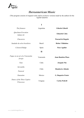

### *Iberoamerican Music*

(This program consists of original works and/or exclusive versions made by the authors for the Aguilar Quartet)

|                                           | $\mathbf I$   |                           |
|-------------------------------------------|---------------|---------------------------|
| The firmness                              | Argentina     | Gilardo Gilardi           |
| Quechuan Evocation<br>Indian Air          |               | <b>Eduardo Caba</b>       |
| Chacarera                                 |               | <b>Pascual de Rogatis</b> |
| Saudade da selva brasileira               | <b>Brazil</b> | <b>Heitor Villalobos</b>  |
| Coloured Badge                            | Spain         | Paco Aguilar              |
|                                           | $\mathbf{I}$  |                           |
| Fugue on an air of a Venezuelan<br>Joropo | Venezuela     | Juan Bautista Plaza       |
| Tune                                      | Cuba          | <b>Joaquín Nin</b>        |
| Serranilla                                |               |                           |
| Pastoral                                  | Chile         | <b>Humberto Allende</b>   |
| Danzatine                                 | Mexico        | <b>G. Baqueiro Foster</b> |
| Dance of the Three Captive<br>Princesses  | Uruguay       | <b>Carlos Pedrell</b>     |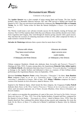

### *Iberoamerican Music*

*Comments to the program*

The **Aguilar Quartet** was a clear example of union among Spain and Europe. The four Aguilar brothers, born in Moratalla (Murcia) between 1897 and 1906 moved to Madrid and formed the Quartet in 1923. They are soon known and admired by composers like **Manuel de Falla** and **Joaquín Turina**. So, in 1925, Turina writes for them the famous *Bullfighter's Prayer ("La oración del torero")*.

The Thirties would mean a new advance towards success for the Quartet, touring all Europe and America. The Civil War surprises them while they are in Buenos Aires and they decide to move there. From Argentina and Uruguay, they went through all America giving concerts with a great success. They had then the occasion of contacting musicians of that era who, either composed for them, or made exclusive versions for them.

**Salvador de Madariaga** dedicates them a poem when he meets them in Chile:

| Virtuous with virtues        | Virtuosos de virtudes       |
|------------------------------|-----------------------------|
| They leave sound echoes      | dejan sonoros ecos          |
| Four lutes,                  | cuatro laúdes,              |
| A Velazquez and three Grecos | un Velázquez y tres Grecos. |

Chilean composer Humberto Allende also dedicates them *Serranilla* and *Pastoral ("Pastoril")* (Santiago de Chile, 1935). To name, among others, the Argentineans **Eduardo Caba**, **Julián Aguirre** and **Gilardo Gilardi**, who dedicates them *Quechuan Evocation ("Evocación Quichua")* (composed as homage to the Aguilar brothers and dedicated to them as a memory of their brilliant artistic performing in the Argentinean Buenos Aires (in September, 1929).

Mexican **Gerónimo Baquiero Foster** writes *Danzatine ("Danzatina")* for them. **Juan Bautista Plaza** composes *Fugue on an air of a Venezuelan joropo ("Fuga sobre un aire de joropo venezolano")*, dedicated in Caracas, 10th of June, 1935. **Heitor Villalobos** composes for them a version of his *Saudade da Selva Brasileira*, dated in Mexico, 1934.

Inspired in the Medieval Spain, which hosted the three religions, the Uruguayan **Carlos Pedrell** dedicates them *Dance of the Three Captive Princesses ("Danzas de las tres princesas cautivas")*, where each movement represents one of them: *Zoraida* (Muslim), *Doña Mencía* (Christian) and *Betsabé* (Judaic).

Let's caption as an anecdote the annotations of a part of the score: *On board of the Eubée, between Spain and America, 25th May, 1929*. Two of the Aguilar brothers, Ezequiel and Paco, composed for the Quartet (*Coloured Badge - "Escarapela de colores"*, dated in Buenos Aires, 1939). Once the Quartet dissolved, Paco continued his artistic labour giving concerts and composing. He wrote the book *On the Shores of Music* ("A orillas de la Música"), published in Buenos Aires by Editorial Losada.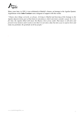

.

Many years later, in 1983, it was celebrated at Madrid's Ateneo, an homage to the Aguilar Quartet. Argentinean writer **Julio Cortázar** sent a telegram of support with this words:

*"Chance does things correctly, as always. Arriving to Madrid and knowing of this homage to the Aguilar Quartet forms part of that kind of coincidences which only fools consider casual. In a very far time, the Aguilar filled with music the Buenos Aires of my youth. That music is still alive and present in my memory and it seems to me that it is not only a duty but also a joy to express here and today my gratitude, the gratitude of all my people."*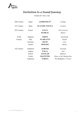

# *Invitation to a Sound Journey*

Cantata for verse y lute

| XIII Century | Spain     | <b>ALPHONSO X<sup>th</sup></b> | Cantiga                  |
|--------------|-----------|--------------------------------|--------------------------|
| XV Century   | Spain     | <b>JUAN DEL ENCINA</b>         | Canticle                 |
| XVI Century  | France    | <b>LULLY</b>                   | The Carnival             |
|              |           | <b>RAMEAU</b>                  | Minuet                   |
| XVIII        | England   | <b>CROFT</b>                   | Sarabande                |
| Century      | Italy     | <b>SCARLATTI</b>               | Sonata                   |
|              | Germany   | <b>BACH</b>                    | Aria                     |
|              | Austria   | <b>MOZART</b>                  | Rondo                    |
| XX Century   | Andalusia | <b>ALBENIZ</b>                 | Granada                  |
|              | Aragon    | <b>FALLA</b>                   | Jota                     |
|              | Galicia   | <b>AGUILAR</b>                 | Muñeira                  |
|              | Castile   | <b>HALFFTER</b>                | Dance of the Shepherdess |
|              | Andalusia | <b>TURINA</b>                  | The Bullfighter's Prayer |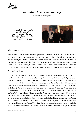

### *Invitation to a Sound Journey*

*Comments to the program*

José Luis Pellicena - reciter *Aguilar Quartet* Antonio Navarro - bandurria Luis Miguel Lara - laudete Pilar Barón - lute Esther Casado - laudón



#### *The Aguilar Quartet*

Founded in 1986, the ensemble uses four Spanish lutes: bandurria, laudete, tenor lute and laudón. It is a pioneer group in our country upon recovering the use of nylon in the strings, in an attempt to emulate the original sonority of the historic Aguilar Quartet. They are remarkable their performing in the National Arte Museum Reina Sofía, The Fundación Juan March, The Centro Cultural Conde Duque, The Casa de America, the Royal Theatre, Leon's Music Festival and Granada's Music and Dance Festival. Actual composers like Claudio Prieto or José Luis Turina have composed for them.

#### *José Luis Pellicena*

Born in Zaragoza, soon he directed his actor passion towards the theatre stage, playing his debut at *Ana Frank's Diary*. He has been directed by many of the most important people of the Spanish stage, such as José Tamayo, José Luis Alonso, Adolfo Marsillach, José Carlos Plaza or Lluis Pascual. He has played not only the classics but also the contemporary authors. The theatre, with capitals, has been the field where he has been an actor, at titles like *Life is a Dream ("La vida es sueño")* (Calderón de la Barca), *Justice Without Revenge ("El castigo sin venganza")* (Lope de Vega), *King Lear* (Shakespeare), *Edward the Second* (Marlowe), *Death of a Salesman* (Miller), *Dirty hands ("Les mains sales")* (Sartre), *Yerma* (García Lorca), *Don't blame anybody about my life ("No se culpe a nadie de mi vida")* (upon a Julio Cortazar's text). Even thought his filmography is not that wide, it covers an extended period of time, from 1961 when we find films like *Cariño Mío* and *Usted puede ser un asesino*, to 2002 in José Luis Acosta's *No dejaré que no me quieras*. In the recent months he has been collaborating with Actress Nuria Espert in poetical recitals dedicated to the poet from Cadiz Rafael Alberti on account of the one hundred years of his birth. Pellicena also had payed attention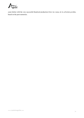

years before with the very successful theatrical production *Entre las ramas de la arboleda perdida*, based on the poet memories.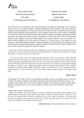

Virtuous with virtues They leave sound echoes Four lutes, A Velazquez and three Grecos

*Virtuosos de virtudes dejan sonoros ecos cuatro laúdes, un Velázquez y tres Grecos.*

This small poem was dedicated to the Aguilar Quartet by Salvador de Madariaga. It was started in 1923 by four of the Aguilar brothers: Ezequiel (bandurria), Pepe (laudete), Elisa (lute) and Paco (laudón), and they rehearsed in Europe and America with a great success. Composers such as Joaquín Turina, Ernesto Halffter or Igor Strawinsky wrote or adapted some of his works for them. The Spanish Civil War and, lately, the II World War, force the Quartet to install in Argentina, reducing their artistic projection, and ending their history in 1941. Nevertheless in 1942, Paco (1897-1947), who continues giving recitals, suggests to the poet Rafael Alberti, also exiled in Buenos Aires, the creation of a poetic-musical spectacle; this is the origin of *Invitation to a Sound Journey*. This cantata for verse and lute is specifically dedicated to Paco Aguilar and appears in the book *High tide* (Pleamar) of the Cadiz-born poet. Rafael Alberti and Paco Aguilar, together with pianist Óscar Colacelli, offered more than seventy recitals all through the Hispanic America.

*"Verses were written seeking to be the most rhythmical, exact oral expression, sometimes aerial and almost elusive, of the works, after being listened and studied by my with the utmost attention, keeping, if possible, to the musical accent of each style"*

*"…lute was dissolved in the most limpid springs and games which an anonymous Arabic Spanish fantasized in the XIV Century. It is found later in Juan de la Encina and his torn canticle upon the death of the Queen Elizabeth of Castile and in the crowed Pavana of Diego Pisador. All the cantata seemed submerged under the transparency of a haven of water. You could sense it dancing lost among the foggy cry vapours; curly, whispering, fugitive; between light and gloom folds (Croft); suddenly emerged in cheerful golden bubbles (Scarlatti); jumpy and broken as if it were suspended with a thread (Mozart) or wide whirlwind, sunk in the deepest before going up again in an infinite high tide".*

#### *Rafael Alberti*

In Thursday,  $26<sup>th</sup>$  of May, 1983, it was celebrated at Madrid's Ateneo an homage concert, where the Cantata was offered. Together with Alberti, the Quartet and The Grandío Orchestra took part. As members of the public there were Ernesto Halffter, Obdulia Turina and Pepe Aguilar, among others. Words of adhesion to the act were sent by Manuel de Falla's niece and Argentinean writer Julio Cortázar.

#### Alberti read Cortazar's following note:

*"Chance does things correctly, as always. Arriving to Madrid and knowing of this homage to the Aguilar Quartet forms part of that kind of coincidences which only fools consider casual. In a very far time, the Aguilar filled with music the Buenos Aires of my youth. That music is still alive and present in my memory and it seems to me that it is not only a duty but also a joy to express here and today my gratitude, the gratitude of all my people.*

**Antonio Navarro**, *Plucked String Instruments in Spain*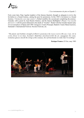

#### *("Los instrumentos de púa en España")*

Forty years later, Pepe Aguilar (nephew of the famous Quartet), thought as adequate to revive the Invitation to a Sound Journey, asking the poet for permission. In this 1983's Invitation to a Sound Journey *("Invitación a un viaje sonoro")*, Rafael modifies the second part completing the journey: Granada, with a poem by Juan Ramón Jiménez, and the famous Bullfighter's Prayer *("La oración del torero")* with his poem dedicated to the death of "Joselito". Rafael with the Grandío Quarter play it in several places of Spain until 1985: Zaragoza's Teatro Principal, Madrid's Teatro María Guerrero, Santander's International Festival, Navarra Festivals, etc.

*"The plastic and rhythmic strength of Alberti's poem faces the rococo swerve (He saw, I saw. Air in a foot, flower in no time), Scarlatti's Madrilian clavichord (trills the air, arpeggiates the water, tremulous glasses smooth the strings of the sonatas), the soft Sarabande (so mild, that I'm nothing)".*

#### **Enrique Franco.** *El País*, may 1983